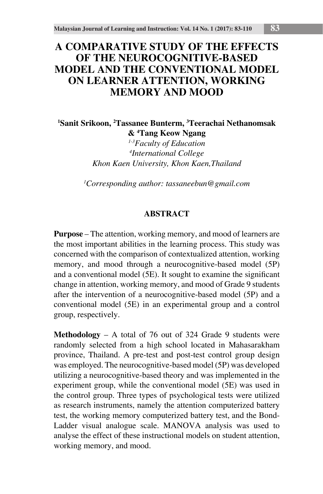# **A COMPARATIVE STUDY OF THE EFFECTS OF THE NEUROCOGNITIVE-BASED MODEL AND THE CONVENTIONAL MODEL ON LEARNER ATTENTION, WORKING MEMORY AND MOOD**

**1 Sanit Srikoon, 2 Tassanee Bunterm, 3 Teerachai Nethanomsak & 4 Tang Keow Ngang**

> *1-3Faculty of Education 4 International College Khon Kaen University, Khon Kaen,Thailand*

*1 Corresponding author: tassaneebun@gmail.com*

## **ABSTRACT**

**Purpose** – The attention, working memory, and mood of learners are the most important abilities in the learning process. This study was concerned with the comparison of contextualized attention, working memory, and mood through a neurocognitive-based model (5P) and a conventional model (5E). It sought to examine the significant change in attention, working memory, and mood of Grade 9 students after the intervention of a neurocognitive-based model (5P) and a conventional model (5E) in an experimental group and a control group, respectively.

**Methodology** – A total of 76 out of 324 Grade 9 students were randomly selected from a high school located in Mahasarakham province, Thailand. A pre-test and post-test control group design was employed. The neurocognitive-based model (5P) was developed utilizing a neurocognitive-based theory and was implemented in the experiment group, while the conventional model (5E) was used in the control group. Three types of psychological tests were utilized as research instruments, namely the attention computerized battery test, the working memory computerized battery test, and the Bond-Ladder visual analogue scale. MANOVA analysis was used to analyse the effect of these instructional models on student attention, working memory, and mood.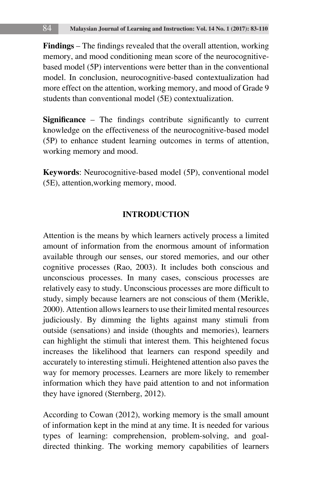**Findings** – The findings revealed that the overall attention, working memory, and mood conditioning mean score of the neurocognitivebased model (5P) interventions were better than in the conventional model. In conclusion, neurocognitive-based contextualization had more effect on the attention, working memory, and mood of Grade 9 students than conventional model (5E) contextualization.

**Significance** – The findings contribute significantly to current knowledge on the effectiveness of the neurocognitive-based model (5P) to enhance student learning outcomes in terms of attention, working memory and mood.

**Keywords**: Neurocognitive-based model (5P), conventional model (5E), attention,working memory, mood.

## **INTRODUCTION**

Attention is the means by which learners actively process a limited amount of information from the enormous amount of information available through our senses, our stored memories, and our other cognitive processes (Rao, 2003). It includes both conscious and unconscious processes. In many cases, conscious processes are relatively easy to study. Unconscious processes are more difficult to study, simply because learners are not conscious of them (Merikle, 2000). Attention allows learners to use their limited mental resources judiciously. By dimming the lights against many stimuli from outside (sensations) and inside (thoughts and memories), learners can highlight the stimuli that interest them. This heightened focus increases the likelihood that learners can respond speedily and accurately to interesting stimuli. Heightened attention also paves the way for memory processes. Learners are more likely to remember information which they have paid attention to and not information they have ignored (Sternberg, 2012).

According to Cowan (2012), working memory is the small amount of information kept in the mind at any time. It is needed for various types of learning: comprehension, problem-solving, and goaldirected thinking. The working memory capabilities of learners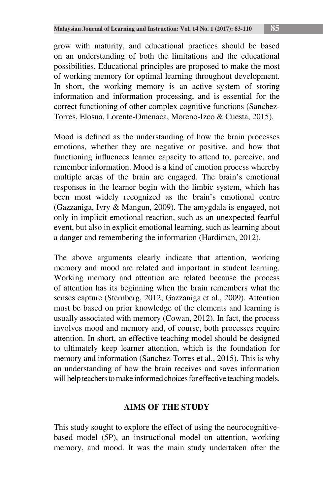grow with maturity, and educational practices should be based on an understanding of both the limitations and the educational possibilities. Educational principles are proposed to make the most of working memory for optimal learning throughout development. In short, the working memory is an active system of storing information and information processing, and is essential for the correct functioning of other complex cognitive functions (Sanchez-Torres, Elosua, Lorente-Omenaca, Moreno-Izco & Cuesta, 2015).

Mood is defined as the understanding of how the brain processes emotions, whether they are negative or positive, and how that functioning influences learner capacity to attend to, perceive, and remember information. Mood is a kind of emotion process whereby multiple areas of the brain are engaged. The brain's emotional responses in the learner begin with the limbic system, which has been most widely recognized as the brain's emotional centre (Gazzaniga, Ivry & Mangun, 2009). The amygdala is engaged, not only in implicit emotional reaction, such as an unexpected fearful event, but also in explicit emotional learning, such as learning about a danger and remembering the information (Hardiman, 2012).

The above arguments clearly indicate that attention, working memory and mood are related and important in student learning. Working memory and attention are related because the process of attention has its beginning when the brain remembers what the senses capture (Sternberg, 2012; Gazzaniga et al., 2009). Attention must be based on prior knowledge of the elements and learning is usually associated with memory (Cowan, 2012). In fact, the process involves mood and memory and, of course, both processes require attention. In short, an effective teaching model should be designed to ultimately keep learner attention, which is the foundation for memory and information (Sanchez-Torres et al., 2015). This is why an understanding of how the brain receives and saves information will help teachers to make informed choices for effective teaching models.

## **AIMS OF THE STUDY**

This study sought to explore the effect of using the neurocognitivebased model (5P), an instructional model on attention, working memory, and mood. It was the main study undertaken after the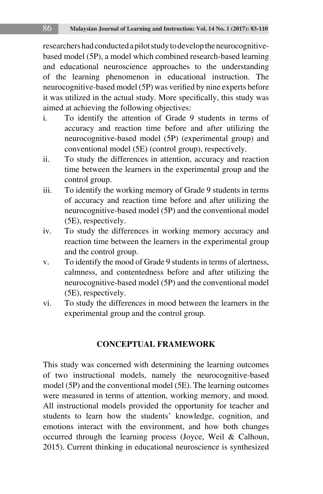researchers had conducted a pilot study to develop the neurocognitivebased model (5P), a model which combined research-based learning and educational neuroscience approaches to the understanding of the learning phenomenon in educational instruction. The neurocognitive-based model (5P) was verified by nine experts before it was utilized in the actual study. More specifically, this study was aimed at achieving the following objectives:

- i. To identify the attention of Grade 9 students in terms of accuracy and reaction time before and after utilizing the neurocognitive-based model (5P) (experimental group) and conventional model (5E) (control group), respectively.
- ii. To study the differences in attention, accuracy and reaction time between the learners in the experimental group and the control group.
- iii. To identify the working memory of Grade 9 students in terms of accuracy and reaction time before and after utilizing the neurocognitive-based model (5P) and the conventional model (5E), respectively.
- iv. To study the differences in working memory accuracy and reaction time between the learners in the experimental group and the control group.
- v. To identify the mood of Grade 9 students in terms of alertness, calmness, and contentedness before and after utilizing the neurocognitive-based model (5P) and the conventional model (5E), respectively.
- vi. To study the differences in mood between the learners in the experimental group and the control group.

# **CONCEPTUAL FRAMEWORK**

This study was concerned with determining the learning outcomes of two instructional models, namely the neurocognitive-based model (5P) and the conventional model (5E). The learning outcomes were measured in terms of attention, working memory, and mood. All instructional models provided the opportunity for teacher and students to learn how the students' knowledge, cognition, and emotions interact with the environment, and how both changes occurred through the learning process (Joyce, Weil & Calhoun, 2015). Current thinking in educational neuroscience is synthesized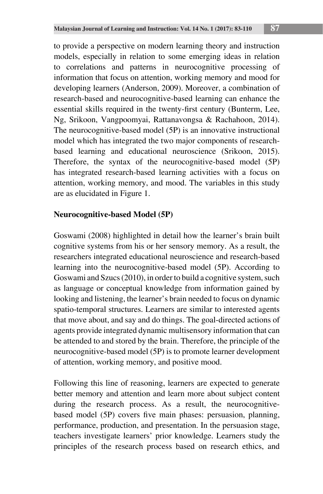to provide a perspective on modern learning theory and instruction models, especially in relation to some emerging ideas in relation to correlations and patterns in neurocognitive processing of information that focus on attention, working memory and mood for developing learners (Anderson, 2009). Moreover, a combination of research-based and neurocognitive-based learning can enhance the essential skills required in the twenty-first century (Bunterm, Lee, Ng, Srikoon, Vangpoomyai, Rattanavongsa & Rachahoon, 2014). The neurocognitive-based model (5P) is an innovative instructional model which has integrated the two major components of researchbased learning and educational neuroscience (Srikoon, 2015). Therefore, the syntax of the neurocognitive-based model (5P) has integrated research-based learning activities with a focus on attention, working memory, and mood. The variables in this study are as elucidated in Figure 1.

# **Neurocognitive-based Model (5P)**

Goswami (2008) highlighted in detail how the learner's brain built cognitive systems from his or her sensory memory. As a result, the researchers integrated educational neuroscience and research-based learning into the neurocognitive-based model (5P). According to Goswami and Szucs (2010), in order to build a cognitive system, such as language or conceptual knowledge from information gained by looking and listening, the learner's brain needed to focus on dynamic spatio-temporal structures. Learners are similar to interested agents that move about, and say and do things. The goal-directed actions of agents provide integrated dynamic multisensory information that can be attended to and stored by the brain. Therefore, the principle of the neurocognitive-based model (5P) is to promote learner development of attention, working memory, and positive mood.

Following this line of reasoning, learners are expected to generate better memory and attention and learn more about subject content during the research process. As a result, the neurocognitivebased model (5P) covers five main phases: persuasion, planning, performance, production, and presentation. In the persuasion stage, teachers investigate learners' prior knowledge. Learners study the principles of the research process based on research ethics, and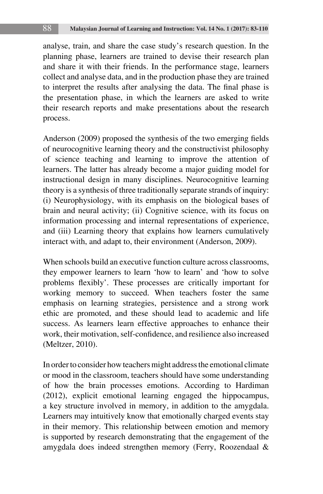analyse, train, and share the case study's research question. In the planning phase, learners are trained to devise their research plan and share it with their friends. In the performance stage, learners collect and analyse data, and in the production phase they are trained to interpret the results after analysing the data. The final phase is the presentation phase, in which the learners are asked to write their research reports and make presentations about the research process.

Anderson (2009) proposed the synthesis of the two emerging fields of neurocognitive learning theory and the constructivist philosophy of science teaching and learning to improve the attention of learners. The latter has already become a major guiding model for instructional design in many disciplines. Neurocognitive learning theory is a synthesis of three traditionally separate strands of inquiry: (i) Neurophysiology, with its emphasis on the biological bases of brain and neural activity; (ii) Cognitive science, with its focus on information processing and internal representations of experience, and (iii) Learning theory that explains how learners cumulatively interact with, and adapt to, their environment (Anderson, 2009).

When schools build an executive function culture across classrooms, they empower learners to learn 'how to learn' and 'how to solve problems flexibly'. These processes are critically important for working memory to succeed. When teachers foster the same emphasis on learning strategies, persistence and a strong work ethic are promoted, and these should lead to academic and life success. As learners learn effective approaches to enhance their work, their motivation, self-confidence, and resilience also increased (Meltzer, 2010).

In order to consider how teachers might address the emotional climate or mood in the classroom, teachers should have some understanding of how the brain processes emotions. According to Hardiman (2012), explicit emotional learning engaged the hippocampus, a key structure involved in memory, in addition to the amygdala. Learners may intuitively know that emotionally charged events stay in their memory. This relationship between emotion and memory is supported by research demonstrating that the engagement of the amygdala does indeed strengthen memory (Ferry, Roozendaal &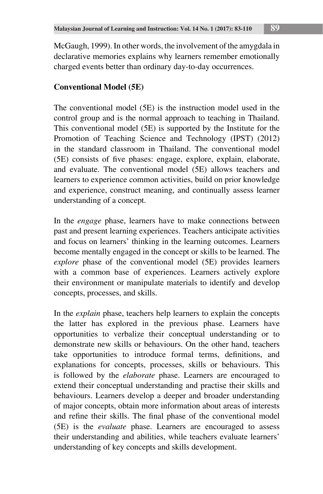McGaugh, 1999). In other words, the involvement of the amygdala in declarative memories explains why learners remember emotionally charged events better than ordinary day-to-day occurrences.

# **Conventional Model (5E)**

The conventional model (5E) is the instruction model used in the control group and is the normal approach to teaching in Thailand. This conventional model (5E) is supported by the Institute for the Promotion of Teaching Science and Technology (IPST) (2012) in the standard classroom in Thailand. The conventional model (5E) consists of five phases: engage, explore, explain, elaborate, and evaluate. The conventional model (5E) allows teachers and learners to experience common activities, build on prior knowledge and experience, construct meaning, and continually assess learner understanding of a concept.

In the *engage* phase, learners have to make connections between past and present learning experiences. Teachers anticipate activities and focus on learners' thinking in the learning outcomes. Learners become mentally engaged in the concept or skills to be learned. The *explore* phase of the conventional model (5E) provides learners with a common base of experiences. Learners actively explore their environment or manipulate materials to identify and develop concepts, processes, and skills.

In the *explain* phase, teachers help learners to explain the concepts the latter has explored in the previous phase. Learners have opportunities to verbalize their conceptual understanding or to demonstrate new skills or behaviours. On the other hand, teachers take opportunities to introduce formal terms, definitions, and explanations for concepts, processes, skills or behaviours. This is followed by the *elaborate* phase. Learners are encouraged to extend their conceptual understanding and practise their skills and behaviours. Learners develop a deeper and broader understanding of major concepts, obtain more information about areas of interests and refine their skills. The final phase of the conventional model (5E) is the *evaluate* phase. Learners are encouraged to assess their understanding and abilities, while teachers evaluate learners' understanding of key concepts and skills development.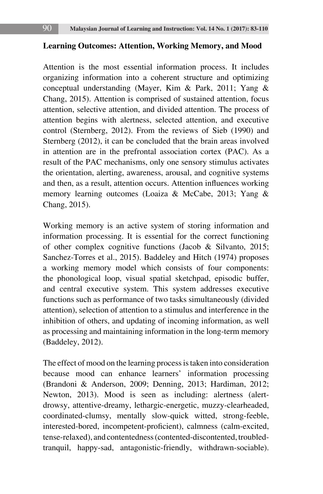#### **Learning Outcomes: Attention, Working Memory, and Mood**

Attention is the most essential information process. It includes organizing information into a coherent structure and optimizing conceptual understanding (Mayer, Kim & Park, 2011; Yang & Chang, 2015). Attention is comprised of sustained attention, focus attention, selective attention, and divided attention. The process of attention begins with alertness, selected attention, and executive control (Sternberg, 2012). From the reviews of Sieb (1990) and Sternberg (2012), it can be concluded that the brain areas involved in attention are in the prefrontal association cortex (PAC). As a result of the PAC mechanisms, only one sensory stimulus activates the orientation, alerting, awareness, arousal, and cognitive systems and then, as a result, attention occurs. Attention influences working memory learning outcomes (Loaiza & McCabe, 2013; Yang & Chang, 2015).

Working memory is an active system of storing information and information processing. It is essential for the correct functioning of other complex cognitive functions (Jacob & Silvanto, 2015; Sanchez-Torres et al., 2015). Baddeley and Hitch (1974) proposes a working memory model which consists of four components: the phonological loop, visual spatial sketchpad, episodic buffer, and central executive system. This system addresses executive functions such as performance of two tasks simultaneously (divided attention), selection of attention to a stimulus and interference in the inhibition of others, and updating of incoming information, as well as processing and maintaining information in the long-term memory (Baddeley, 2012).

The effect of mood on the learning process is taken into consideration because mood can enhance learners' information processing (Brandoni & Anderson, 2009; Denning, 2013; Hardiman, 2012; Newton, 2013). Mood is seen as including: alertness (alertdrowsy, attentive-dreamy, lethargic-energetic, muzzy-clearheaded, coordinated-clumsy, mentally slow-quick witted, strong-feeble, interested-bored, incompetent-proficient), calmness (calm-excited, tense-relaxed), and contentedness (contented-discontented, troubledtranquil, happy-sad, antagonistic-friendly, withdrawn-sociable).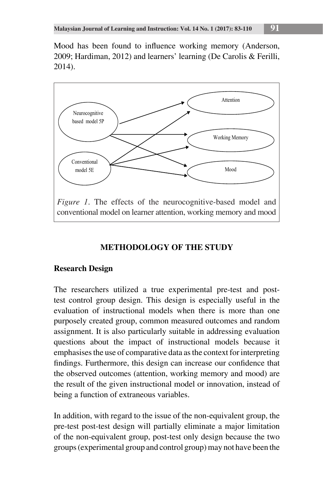Mood has been found to influence working memory (Anderson, 2009; Hardiman, 2012) and learners' learning (De Carolis & Ferilli, 2014).



# **METHODOLOGY OF THE STUDY METHODOLOGY OF THE STUDY**

# **Research Design Research Design**

The researchers utilized a true experimental pre-test and posttest control group design. This design is especially useful in the evaluation of instructional models when there is more than one purposely created group, common measured outcomes and random assignment. It is also particularly suitable in addressing evaluation questions about the impact of instructional models because it emphasises the use of comparative data as the context for interpreting findings. Furthermore, this design can increase our confidence that the observed outcomes (attention, working memory and mood) are the result of the given instructional model or innovation, instead of the result of the given instructional model or innovation, instead of being a function of extraneous variables.

In addition, with regard to the issue of the non-equivalent group, the pre-test post-test design will partially eliminate a major limitation of the non-equivalent group, post-test only design because the two groups (experimental group and control group) may not have been the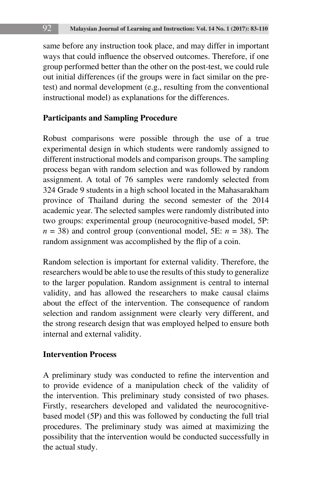same before any instruction took place, and may differ in important ways that could influence the observed outcomes. Therefore, if one group performed better than the other on the post-test, we could rule out initial differences (if the groups were in fact similar on the pretest) and normal development (e.g., resulting from the conventional instructional model) as explanations for the differences.

## **Participants and Sampling Procedure**

Robust comparisons were possible through the use of a true experimental design in which students were randomly assigned to different instructional models and comparison groups. The sampling process began with random selection and was followed by random assignment. A total of 76 samples were randomly selected from 324 Grade 9 students in a high school located in the Mahasarakham province of Thailand during the second semester of the 2014 academic year. The selected samples were randomly distributed into two groups: experimental group (neurocognitive-based model, 5P:  $n = 38$ ) and control group (conventional model, 5E:  $n = 38$ ). The random assignment was accomplished by the flip of a coin.

Random selection is important for external validity. Therefore, the researchers would be able to use the results of this study to generalize to the larger population. Random assignment is central to internal validity, and has allowed the researchers to make causal claims about the effect of the intervention. The consequence of random selection and random assignment were clearly very different, and the strong research design that was employed helped to ensure both internal and external validity.

## **Intervention Process**

A preliminary study was conducted to refine the intervention and to provide evidence of a manipulation check of the validity of the intervention. This preliminary study consisted of two phases. Firstly, researchers developed and validated the neurocognitivebased model (5P) and this was followed by conducting the full trial procedures. The preliminary study was aimed at maximizing the possibility that the intervention would be conducted successfully in the actual study.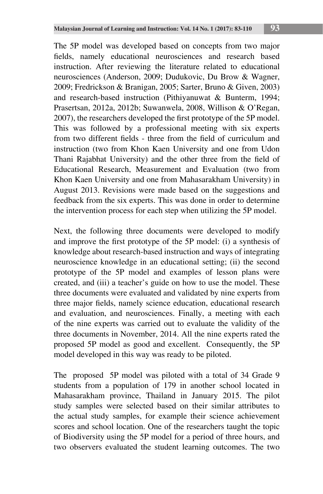The 5P model was developed based on concepts from two major fields, namely educational neurosciences and research based instruction. After reviewing the literature related to educational neurosciences (Anderson, 2009; Dudukovic, Du Brow & Wagner, 2009; Fredrickson & Branigan, 2005; Sarter, Bruno & Given, 2003) and research-based instruction (Pithiyanuwat & Bunterm, 1994; Prasertsan, 2012a, 2012b; Suwanwela, 2008, Willison & O'Regan, 2007), the researchers developed the first prototype of the 5P model. This was followed by a professional meeting with six experts from two different fields - three from the field of curriculum and instruction (two from Khon Kaen University and one from Udon Thani Rajabhat University) and the other three from the field of Educational Research, Measurement and Evaluation (two from Khon Kaen University and one from Mahasarakham University) in August 2013. Revisions were made based on the suggestions and feedback from the six experts. This was done in order to determine the intervention process for each step when utilizing the 5P model.

Next, the following three documents were developed to modify and improve the first prototype of the 5P model: (i) a synthesis of knowledge about research-based instruction and ways of integrating neuroscience knowledge in an educational setting; (ii) the second prototype of the 5P model and examples of lesson plans were created, and (iii) a teacher's guide on how to use the model. These three documents were evaluated and validated by nine experts from three major fields, namely science education, educational research and evaluation, and neurosciences. Finally, a meeting with each of the nine experts was carried out to evaluate the validity of the three documents in November, 2014. All the nine experts rated the proposed 5P model as good and excellent. Consequently, the 5P model developed in this way was ready to be piloted.

The proposed 5P model was piloted with a total of 34 Grade 9 students from a population of 179 in another school located in Mahasarakham province, Thailand in January 2015. The pilot study samples were selected based on their similar attributes to the actual study samples, for example their science achievement scores and school location. One of the researchers taught the topic of Biodiversity using the 5P model for a period of three hours, and two observers evaluated the student learning outcomes. The two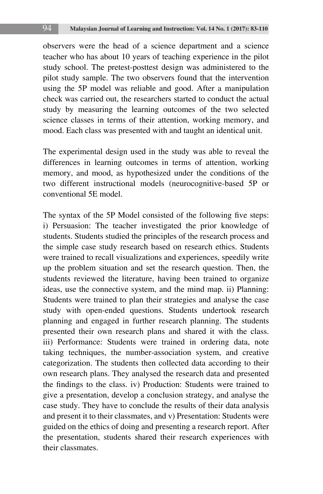observers were the head of a science department and a science teacher who has about 10 years of teaching experience in the pilot study school. The pretest-posttest design was administered to the pilot study sample. The two observers found that the intervention using the 5P model was reliable and good. After a manipulation check was carried out, the researchers started to conduct the actual study by measuring the learning outcomes of the two selected science classes in terms of their attention, working memory, and mood. Each class was presented with and taught an identical unit.

The experimental design used in the study was able to reveal the differences in learning outcomes in terms of attention, working memory, and mood, as hypothesized under the conditions of the two different instructional models (neurocognitive-based 5P or conventional 5E model.

The syntax of the 5P Model consisted of the following five steps: i) Persuasion: The teacher investigated the prior knowledge of students. Students studied the principles of the research process and the simple case study research based on research ethics. Students were trained to recall visualizations and experiences, speedily write up the problem situation and set the research question. Then, the students reviewed the literature, having been trained to organize ideas, use the connective system, and the mind map. ii) Planning: Students were trained to plan their strategies and analyse the case study with open-ended questions. Students undertook research planning and engaged in further research planning. The students presented their own research plans and shared it with the class. iii) Performance: Students were trained in ordering data, note taking techniques, the number-association system, and creative categorization. The students then collected data according to their own research plans. They analysed the research data and presented the findings to the class. iv) Production: Students were trained to give a presentation, develop a conclusion strategy, and analyse the case study. They have to conclude the results of their data analysis and present it to their classmates, and v) Presentation: Students were guided on the ethics of doing and presenting a research report. After the presentation, students shared their research experiences with their classmates.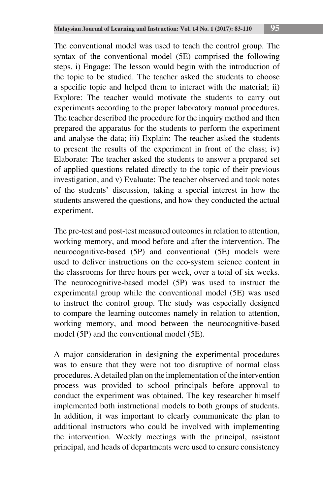The conventional model was used to teach the control group. The syntax of the conventional model (5E) comprised the following steps. i) Engage: The lesson would begin with the introduction of the topic to be studied. The teacher asked the students to choose a specific topic and helped them to interact with the material; ii) Explore: The teacher would motivate the students to carry out experiments according to the proper laboratory manual procedures. The teacher described the procedure for the inquiry method and then prepared the apparatus for the students to perform the experiment and analyse the data; iii) Explain: The teacher asked the students to present the results of the experiment in front of the class; iv) Elaborate: The teacher asked the students to answer a prepared set of applied questions related directly to the topic of their previous investigation, and v) Evaluate: The teacher observed and took notes of the students' discussion, taking a special interest in how the students answered the questions, and how they conducted the actual experiment.

The pre-test and post-test measured outcomes in relation to attention, working memory, and mood before and after the intervention. The neurocognitive-based (5P) and conventional (5E) models were used to deliver instructions on the eco-system science content in the classrooms for three hours per week, over a total of six weeks. The neurocognitive-based model (5P) was used to instruct the experimental group while the conventional model (5E) was used to instruct the control group. The study was especially designed to compare the learning outcomes namely in relation to attention, working memory, and mood between the neurocognitive-based model (5P) and the conventional model (5E).

A major consideration in designing the experimental procedures was to ensure that they were not too disruptive of normal class procedures. A detailed plan on the implementation of the intervention process was provided to school principals before approval to conduct the experiment was obtained. The key researcher himself implemented both instructional models to both groups of students. In addition, it was important to clearly communicate the plan to additional instructors who could be involved with implementing the intervention. Weekly meetings with the principal, assistant principal, and heads of departments were used to ensure consistency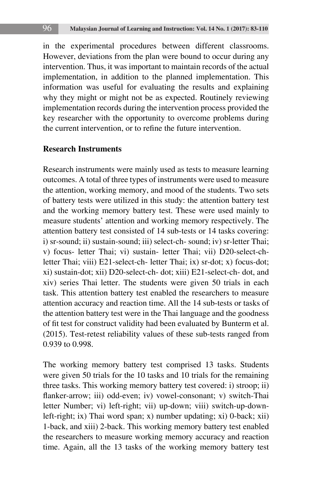in the experimental procedures between different classrooms. However, deviations from the plan were bound to occur during any intervention. Thus, it was important to maintain records of the actual implementation, in addition to the planned implementation. This information was useful for evaluating the results and explaining why they might or might not be as expected. Routinely reviewing implementation records during the intervention process provided the key researcher with the opportunity to overcome problems during the current intervention, or to refine the future intervention.

## **Research Instruments**

Research instruments were mainly used as tests to measure learning outcomes. A total of three types of instruments were used to measure the attention, working memory, and mood of the students. Two sets of battery tests were utilized in this study: the attention battery test and the working memory battery test. These were used mainly to measure students' attention and working memory respectively. The attention battery test consisted of 14 sub-tests or 14 tasks covering: i) sr-sound; ii) sustain-sound; iii) select-ch- sound; iv) sr-letter Thai; v) focus- letter Thai; vi) sustain- letter Thai; vii) D20-select-chletter Thai; viii) E21-select-ch- letter Thai; ix) sr-dot; x) focus-dot; xi) sustain-dot; xii) D20-select-ch- dot; xiii) E21-select-ch- dot, and xiv) series Thai letter. The students were given 50 trials in each task. This attention battery test enabled the researchers to measure attention accuracy and reaction time. All the 14 sub-tests or tasks of the attention battery test were in the Thai language and the goodness of fit test for construct validity had been evaluated by Bunterm et al. (2015). Test-retest reliability values of these sub-tests ranged from 0.939 to 0.998.

The working memory battery test comprised 13 tasks. Students were given 50 trials for the 10 tasks and 10 trials for the remaining three tasks. This working memory battery test covered: i) stroop; ii) flanker-arrow; iii) odd-even; iv) vowel-consonant; v) switch-Thai letter Number; vi) left-right; vii) up-down; viii) switch-up-downleft-right; ix) Thai word span; x) number updating; xi) 0-back; xii) 1-back, and xiii) 2-back. This working memory battery test enabled the researchers to measure working memory accuracy and reaction time. Again, all the 13 tasks of the working memory battery test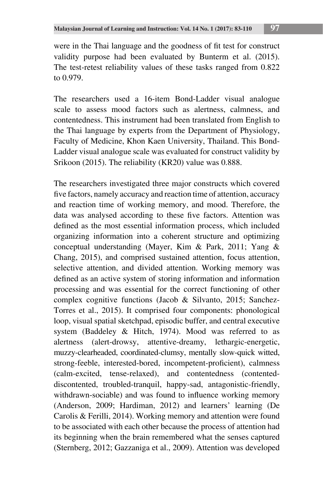The researchers used a 16-item Bond-Ladder visual analogue scale to assess mood factors such as alertness, calmness, and contentedness. This instrument had been translated from English to the Thai language by experts from the Department of Physiology, Faculty of Medicine, Khon Kaen University, Thailand. This Bond-Ladder visual analogue scale was evaluated for construct validity by Srikoon (2015). The reliability (KR20) value was 0.888.

The researchers investigated three major constructs which covered five factors, namely accuracy and reaction time of attention, accuracy and reaction time of working memory, and mood. Therefore, the data was analysed according to these five factors. Attention was defined as the most essential information process, which included organizing information into a coherent structure and optimizing conceptual understanding (Mayer, Kim & Park, 2011; Yang & Chang, 2015), and comprised sustained attention, focus attention, selective attention, and divided attention. Working memory was defined as an active system of storing information and information processing and was essential for the correct functioning of other complex cognitive functions (Jacob & Silvanto, 2015; Sanchez-Torres et al., 2015). It comprised four components: phonological loop, visual spatial sketchpad, episodic buffer, and central executive system (Baddeley & Hitch, 1974). Mood was referred to as alertness (alert-drowsy, attentive-dreamy, lethargic-energetic, muzzy-clearheaded, coordinated-clumsy, mentally slow-quick witted, strong-feeble, interested-bored, incompetent-proficient), calmness (calm-excited, tense-relaxed), and contentedness (contenteddiscontented, troubled-tranquil, happy-sad, antagonistic-friendly, withdrawn-sociable) and was found to influence working memory (Anderson, 2009; Hardiman, 2012) and learners' learning (De Carolis & Ferilli, 2014). Working memory and attention were found to be associated with each other because the process of attention had its beginning when the brain remembered what the senses captured (Sternberg, 2012; Gazzaniga et al., 2009). Attention was developed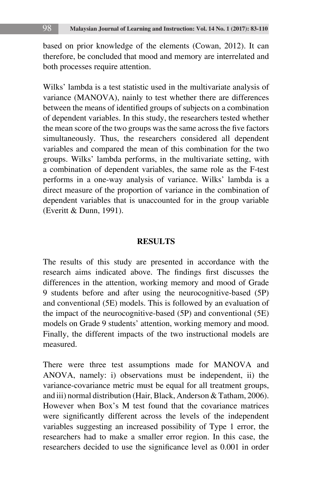based on prior knowledge of the elements (Cowan, 2012). It can therefore, be concluded that mood and memory are interrelated and both processes require attention.

Wilks' lambda is a test statistic used in the multivariate analysis of variance (MANOVA), nainly to test whether there are differences between the means of identified groups of subjects on a combination of dependent variables. In this study, the researchers tested whether the mean score of the two groups was the same across the five factors simultaneously. Thus, the researchers considered all dependent variables and compared the mean of this combination for the two groups. Wilks' lambda performs, in the multivariate setting, with a combination of dependent variables, the same role as the F-test performs in a one-way analysis of variance. Wilks' lambda is a direct measure of the proportion of variance in the combination of dependent variables that is unaccounted for in the group variable (Everitt & Dunn, 1991).

#### **RESULTS**

The results of this study are presented in accordance with the research aims indicated above. The findings first discusses the differences in the attention, working memory and mood of Grade 9 students before and after using the neurocognitive-based (5P) and conventional (5E) models. This is followed by an evaluation of the impact of the neurocognitive-based (5P) and conventional (5E) models on Grade 9 students' attention, working memory and mood. Finally, the different impacts of the two instructional models are measured.

There were three test assumptions made for MANOVA and ANOVA, namely: i) observations must be independent, ii) the variance-covariance metric must be equal for all treatment groups, and iii) normal distribution (Hair, Black, Anderson & Tatham, 2006). However when Box's M test found that the covariance matrices were significantly different across the levels of the independent variables suggesting an increased possibility of Type 1 error, the researchers had to make a smaller error region. In this case, the researchers decided to use the significance level as 0.001 in order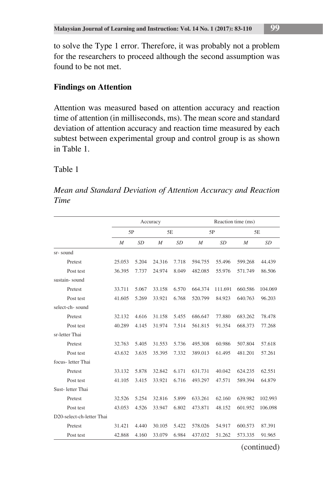to solve the Type 1 error. Therefore, it was probably not a problem for the researchers to proceed although the second assumption was found to be not met.

## **Findings on Attention**

Attention was measured based on attention accuracy and reaction time of attention (in milliseconds, ms). The mean score and standard deviation of attention accuracy and reaction time measured by each subtest between experimental group and control group is as shown in Table 1.

#### Table 1

*Mean and Standard Deviation of Attention Accuracy and Reaction Time* 

|                           |                |           | Accuracy       |           |                  |           | Reaction time (ms) |           |
|---------------------------|----------------|-----------|----------------|-----------|------------------|-----------|--------------------|-----------|
|                           | 5P             |           | 5E             |           | 5P               |           |                    | 5E        |
|                           | $\overline{M}$ | <b>SD</b> | $\overline{M}$ | <b>SD</b> | $\boldsymbol{M}$ | <b>SD</b> | $\overline{M}$     | <b>SD</b> |
| sr-sound                  |                |           |                |           |                  |           |                    |           |
| Pretest                   | 25.053         | 5.204     | 24.316         | 7.718     | 594.755          | 55.496    | 599.268            | 44.439    |
| Post test                 | 36.395         | 7.737     | 24.974         | 8.049     | 482.085          | 55.976    | 571.749            | 86.506    |
| sustain-sound             |                |           |                |           |                  |           |                    |           |
| Pretest                   | 33.711         | 5.067     | 33.158         | 6.570     | 664.374          | 111.691   | 660.586            | 104.069   |
| Post test                 | 41.605         | 5.269     | 33.921         | 6.768     | 520.799          | 84.923    | 640.763            | 96.203    |
| select-ch-sound           |                |           |                |           |                  |           |                    |           |
| Pretest                   | 32.132         | 4.616     | 31.158         | 5.455     | 686.647          | 77.880    | 683.262            | 78.478    |
| Post test                 | 40.289         | 4.145     | 31.974         | 7.514     | 561.815          | 91.354    | 668.373            | 77.268    |
| sr-letter Thai            |                |           |                |           |                  |           |                    |           |
| Pretest                   | 32.763         | 5.405     | 31.553         | 5.736     | 495.308          | 60.986    | 507.804            | 57.618    |
| Post test                 | 43.632         | 3.635     | 35.395         | 7.332     | 389.013          | 61.495    | 481.201            | 57.261    |
| focus-letter Thai         |                |           |                |           |                  |           |                    |           |
| Pretest                   | 33.132         | 5.878     | 32.842         | 6.171     | 631.731          | 40.042    | 624.235            | 62.551    |
| Post test                 | 41.105         | 3.415     | 33.921         | 6.716     | 493.297          | 47.571    | 589.394            | 64.879    |
| Sust-letter Thai          |                |           |                |           |                  |           |                    |           |
| Pretest                   | 32.526         | 5.254     | 32.816         | 5.899     | 633.261          | 62.160    | 639.982            | 102.993   |
| Post test                 | 43.053         | 4.526     | 33.947         | 6.802     | 473.871          | 48.152    | 601.952            | 106.098   |
| D20-select-ch-letter Thai |                |           |                |           |                  |           |                    |           |
| Pretest                   | 31.421         | 4.440     | 30.105         | 5.422     | 578.026          | 54.917    | 600.573            | 87.391    |
| Post test                 | 42.868         | 4.160     | 33.079         | 6.984     | 437.032          | 51.262    | 573.335            | 91.965    |

(continued)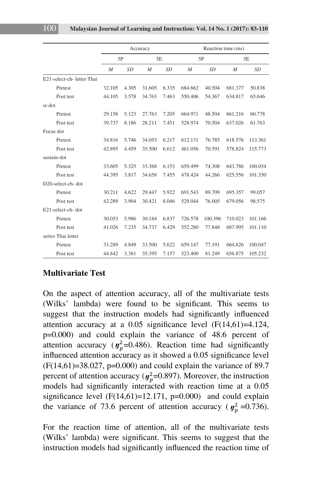|                            |                  |           | Accuracy |           |                  |           | Reaction time (ms) |           |
|----------------------------|------------------|-----------|----------|-----------|------------------|-----------|--------------------|-----------|
|                            | 5P               |           | 5E       |           |                  | 5P        |                    | 5E        |
|                            | $\boldsymbol{M}$ | <b>SD</b> | M        | <b>SD</b> | $\boldsymbol{M}$ | <b>SD</b> | $\boldsymbol{M}$   | <b>SD</b> |
| E21-select-ch- letter Thai |                  |           |          |           |                  |           |                    |           |
| Pretest                    | 32.105           | 4.305     | 31.605   | 6.335     | 684.662          | 40.504    | 681.377            | 50.838    |
| Post test                  | 44.105           | 3.578     | 34.763   | 7.463     | 550.406          | 54.367    | 634.817            | 65.646    |
| sr-dot                     |                  |           |          |           |                  |           |                    |           |
| Pretest                    | 29.158           | 5.123     | 27.763   | 7.205     | 664.971          | 48.504    | 661.216            | 60.778    |
| Post test                  | 39.737           | 8.186     | 28.211   | 7.451     | 528.974          | 70.504    | 637.026            | 61.763    |
| Focus dot                  |                  |           |          |           |                  |           |                    |           |
| Pretest                    | 34.816           | 5.746     | 34.053   | 6.217     | 612.131          | 76.785    | 618.576            | 113.361   |
| Post test                  | 42.895           | 4.459     | 35.500   | 6.612     | 461.056          | 70.591    | 578.824            | 115.773   |
| sustain-dot                |                  |           |          |           |                  |           |                    |           |
| Pretest                    | 33.605           | 5.325     | 33.368   | 6.153     | 659.499          | 74.308    | 643.786            | 100.054   |
| Post test                  | 44.395           | 3.817     | 34.658   | 7.455     | 478.424          | 44.266    | 625.556            | 101.350   |
| D20-select-ch-dot          |                  |           |          |           |                  |           |                    |           |
| Pretest                    | 30.211           | 4.622     | 29.447   | 5.922     | 691.543          | 89.709    | 695.357            | 99.057    |
| Post test                  | 42.289           | 3.904     | 30.421   | 8.046     | 529.044          | 76.005    | 679.056            | 98.575    |
| E21-select-ch-dot          |                  |           |          |           |                  |           |                    |           |
| Pretest                    | 30.053           | 5.986     | 30.184   | 6.837     | 726.578          | 100.396   | 710.023            | 101.166   |
| Post test                  | 41.026           | 7.235     | 34.737   | 6.429     | 552.280          | 77.848    | 687.995            | 101.110   |
| series Thai letter         |                  |           |          |           |                  |           |                    |           |
| Pretest                    | 33.289           | 4.849     | 33.500   | 5.622     | 659.147          | 77.191    | 664.826            | 100.047   |
| Post test                  | 44.842           | 3.381     | 35.395   | 7.157     | 523.400          | 81.249    | 656.875            | 105.232   |

#### **Multivariate Test**

On the aspect of attention accuracy, all of the multivariate tests (Wilks' lambda) were found to be significant. This seems to suggest that the instruction models had significantly influenced attention accuracy at a  $0.05$  significance level  $(F(14,61)=4.124,$ p=0.000) and could explain the variance of 48.6 percent of attention accuracy ( $y_p^2$ =0.486). Reaction time had significantly influenced attention accuracy as it showed a 0.05 significance level influenced attention accuracy as it showed a 0.05 significance level  $(F(14,61)=38.027, p=0.000)$  and could explain the variance of 89.7 percent of attention accuracy ( $y_p^2$ =0.897). Moreover, the instruction<br>models had significantly interacted with reaction time at a 0.05 models had significantly interacted with reaction time at a 0.05 significance level  $(F(14,61)=12.171, p=0.000)$  and could explain the variance of 73.6 percent of attention accuracy ( $y_p^2$  =0.736).

For the reaction time of attention, all of the multivariate tests (Wilks' lambda) were significant. This seems to suggest that the instruction models had significantly influenced the reaction time of (*ŋ n*<sub>*i*</sub> *m*<sup>2</sup>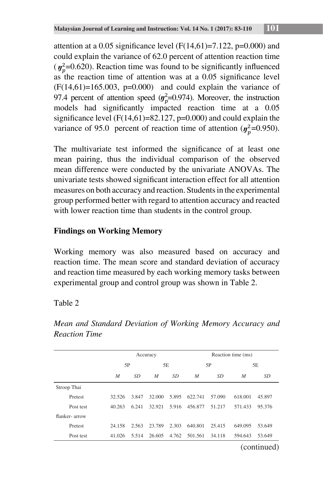attention at a 0.05 significance level  $(F(14,61)=7.122, p=0.000)$  and could explain the variance of 62.0 percent of attention reaction time  $(y_p^2=0.620)$ . Reaction time was found to be significantly influenced<br>  $y_p^2=0.620$ . Reaction time of ettertion was at a 0.05 significance layed as the reaction time of attention was at a 0.05 significance level  $(F(14,61)=165.003, p=0.000)$  and could explain the variance of 97.4 percent of attention speed  $(y_p^2=0.974)$ . Moreover, the instruction models had significantly impacted reaction time at a  $0.05$ <br> $\frac{1}{2}$ significance level  $(F(14,61)=82.127, p=0.000)$  and could explain the models had significantly impacted reaction time at a 0.05 significance level (F(14,61)=82.127, p=0.000) and could explain the variance of 95.0 percent of reaction time of attention ( $\eta_p^2$ =0.950).

The multivariate test informed the significance of at least one mean pairing, thus the individual comparison of the observed mean difference were conducted by the univariate ANOVAs. The univariate tests showed significant interaction effect for all attention measures on both accuracy and reaction. Students in the experimental  $\frac{1}{2}$ group performed better with regard to attention accuracy and reacted with lower reaction time than students in the control group. (*ŋ* t least one

# **Findings on Working Memory**

Working memory was also measured based on accuracy and reaction time. The mean score and standard deviation of accuracy and reaction time measured by each working memory tasks between experimental group and control group was shown in Table 2.

Table 2

|               |                  |       | Accuracy         |       |                  |        | Reaction time (ms) |               |
|---------------|------------------|-------|------------------|-------|------------------|--------|--------------------|---------------|
|               | 5P               |       |                  | 5Ε    |                  | 5P     |                    | 5Ε            |
|               | $\boldsymbol{M}$ | SD    | $\boldsymbol{M}$ | SD    | $\boldsymbol{M}$ | SD     | $\boldsymbol{M}$   | SD            |
| Stroop Thai   |                  |       |                  |       |                  |        |                    |               |
| Pretest       | 32.526           | 3.847 | 32.000           | 5.895 | 622.741          | 57.090 | 618.001            | 45.897        |
| Post test     | 40.263           | 6.241 | 32.921           | 5.916 | 456.877          | 51.217 | 571.433            | 95.376        |
| flanker-arrow |                  |       |                  |       |                  |        |                    |               |
| Pretest       | 24.158           | 2.563 | 23.789           | 2.303 | 640.801          | 25.415 | 649.095            | 53.649        |
| Post test     | 41.026           | 5.514 | 26.605           | 4.762 | 501.561          | 34.118 | 594.643            | 53.649        |
|               |                  |       |                  |       |                  |        |                    | $\rightarrow$ |

*Mean and Standard Deviation of Working Memory Accuracy and Reaction Time*

(continued)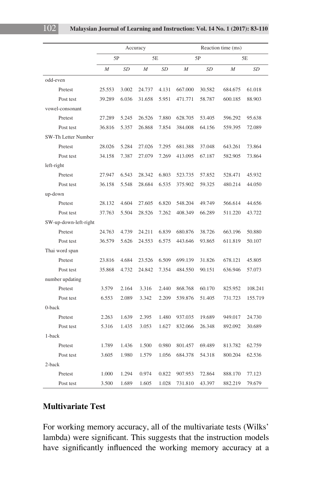|                       |        |           | Accuracy       |           |                  |           | Reaction time (ms) |           |
|-----------------------|--------|-----------|----------------|-----------|------------------|-----------|--------------------|-----------|
|                       | 5P     |           | 5E             |           |                  | 5P        |                    | 5E        |
|                       | M      | <b>SD</b> | $\overline{M}$ | <b>SD</b> | $\boldsymbol{M}$ | <b>SD</b> | M                  | <b>SD</b> |
| odd-even              |        |           |                |           |                  |           |                    |           |
| Pretest               | 25.553 | 3.002     | 24.737         | 4.131     | 667.000          | 30.582    | 684.675            | 61.018    |
| Post test             | 39.289 | 6.036     | 31.658         | 5.951     | 471.771          | 58.787    | 600.185            | 88.903    |
| vowel-consonant       |        |           |                |           |                  |           |                    |           |
| Pretest               | 27.289 | 5.245     | 26.526         | 7.880     | 628.705          | 53.405    | 596.292            | 95.638    |
| Post test             | 36.816 | 5.357     | 26.868         | 7.854     | 384.008          | 64.156    | 559.395            | 72.089    |
| SW-Th Letter Number   |        |           |                |           |                  |           |                    |           |
| Pretest               | 28.026 | 5.284     | 27.026         | 7.295     | 681.388          | 37.048    | 643.261            | 73.864    |
| Post test             | 34.158 | 7.387     | 27.079         | 7.269     | 413.095          | 67.187    | 582.905            | 73.864    |
| left-right            |        |           |                |           |                  |           |                    |           |
| Pretest               | 27.947 | 6.543     | 28.342         | 6.803     | 523.735          | 57.852    | 528.471            | 45.932    |
| Post test             | 36.158 | 5.548     | 28.684         | 6.535     | 375.902          | 59.325    | 480.214            | 44.050    |
| up-down               |        |           |                |           |                  |           |                    |           |
| Pretest               | 28.132 | 4.604     | 27.605         | 6.820     | 548.204          | 49.749    | 566.614            | 44.656    |
| Post test             | 37.763 | 5.504     | 28.526         | 7.262     | 408.349          | 66.289    | 511.220            | 43.722    |
| SW-up-down-left-right |        |           |                |           |                  |           |                    |           |
| Pretest               | 24.763 | 4.739     | 24.211         | 6.839     | 680.876          | 38.726    | 663.196            | 50.880    |
| Post test             | 36.579 | 5.626     | 24.553         | 6.575     | 443.646          | 93.865    | 611.819            | 50.107    |
| Thai word span        |        |           |                |           |                  |           |                    |           |
| Pretest               | 23.816 | 4.684     | 23.526         | 6.509     | 699.139          | 31.826    | 678.121            | 45.805    |
| Post test             | 35.868 | 4.732     | 24.842         | 7.354     | 484.550          | 90.151    | 636.946            | 57.073    |
| number updating       |        |           |                |           |                  |           |                    |           |
| Pretest               | 3.579  | 2.164     | 3.316          | 2.440     | 868.768          | 60.170    | 825.952            | 108.241   |
| Post test             | 6.553  | 2.089     | 3.342          | 2.209     | 539.876          | 51.405    | 731.723            | 155.719   |
| 0-back                |        |           |                |           |                  |           |                    |           |
| Pretest               | 2.263  | 1.639     | 2.395          | 1.480     | 937.035          | 19.689    | 949.017            | 24.730    |
| Post test             | 5.316  | 1.435     | 3.053          | 1.627     | 832.066          | 26.348    | 892.092            | 30.689    |
| 1-back                |        |           |                |           |                  |           |                    |           |
| Pretest               | 1.789  | 1.436     | 1.500          | 0.980     | 801.457          | 69.489    | 813.782            | 62.759    |
| Post test             | 3.605  | 1.980     | 1.579          | 1.056     | 684.378          | 54.318    | 800.204            | 62.536    |
| 2-back                |        |           |                |           |                  |           |                    |           |
| Pretest               | 1.000  | 1.294     | 0.974          | 0.822     | 907.953          | 72.864    | 888.170            | 77.123    |
| Post test             | 3.500  | 1.689     | 1.605          | 1.028     | 731.810          | 43.397    | 882.219            | 79.679    |

## **Multivariate Test**

For working memory accuracy, all of the multivariate tests (Wilks' lambda) were significant. This suggests that the instruction models have significantly influenced the working memory accuracy at a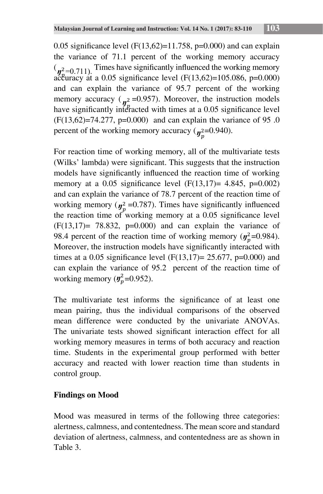0.05 significance level  $(F(13,62)=11.758, p=0.000)$  and can explain the variance of 71.1 percent of the working memory accuracy  $\binom{n}{r^2-0.711}$  Times have significantly influenced the working memory  $\binom{n^2}{n^2}$ =0.711). Thus have significantly immediced the working includivity accuracy at a 0.05 significance level (F(13,62)=105.086, p=0.000) and can explain the variance of  $95.7$  percent of the working memory accuracy ( $y^2 = 0.957$ ). Moreover, the instruction models<br>have significantly interacted with times at a 0.05 significance level have significantly interacted with times at a 0.05 significance level. have significantly interacted with times at a 0.05 significance level  $(F(13,62)=74.277, p=0.000)$  and can explain the variance of 95 .0 percent of the working memory accuracy ( $\eta_p^2$ =0.940). (*ŋ* (*ŋ*  $\frac{1}{2}$  $\eta_p^2$  $2 = 0.93$ =0.000) an<br>ng memory a 0.05 sign

For reaction time of working memory, all of the multivariate tests (*Millie*' lambda) were cignificant. This suggests that the instruction (Wilks' lambda) were significant. This suggests that the instruction models have significantly influenced the mostion time of modified models have significantly influenced the reaction time of working<br>  $\frac{1}{2}$ <br>  $\frac{1}{2}$ <br>  $\frac{2}{3}$ <br>  $\frac{2}{3}$ <br>  $\frac{1}{2}$ <br>  $\frac{2}{3}$ <br>  $\frac{2}{3}$ <br>  $\frac{2}{3}$ <br>  $\frac{2}{3}$ <br>  $\frac{2}{3}$ <br>  $\frac{2}{3}$ <br>  $\frac{2}{3}$ <br>  $\frac{2}{3}$ <br>  $\frac{2}{3}$ <br> memory at a 0.05 significance level  $(F(13,17)= 4.845, p=0.002)$ and can explain the variance of 78.7 percent of the reaction time of working memory ( $y_p^2$  =0.787). Times have significantly influenced<br>the reaction time of working memory at a 0.05 significance level the reaction time of working memory at a 0.05 significance level  $(F(13,17)) = 78.832$ ,  $p=0.000$ ) and can explain the variance of 98.4 percent of the reaction time of working memory ( $y_n^2$ =0.984). Moreover, the instruction models have significantly interacted with  $\frac{1}{2}$ . times at a 0.05 significance level  $(F(13,17)= 25.677, p=0.000)$  and can explain the variance of 95.2 percent of the reaction time of working memory ( $y_p^2$ =0.952). (*ŋ* for the multiple icance level<br>variance of<br> $(y_p^2=0.984)$ .  $e^{0.000}$  and<br>ion time of

The multivariate test informs the significance of at least one mean pairing, thus the individual comparisons of the observed mean difference were conducted by the univariate ANOVAs. The univariate tests showed significant interaction effect for all working memory measures in terms of both accuracy and reaction time. Students in the experimental group performed with better accuracy and reacted with lower reaction time than students in control group.

# **Findings on Mood**

Mood was measured in terms of the following three categories: alertness, calmness, and contentedness. The mean score and standard deviation of alertness, calmness, and contentedness are as shown in Table 3.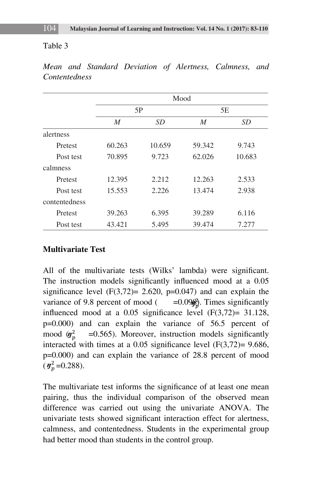#### Table 3

|               |        | Mood   |        |        |  |  |  |  |  |
|---------------|--------|--------|--------|--------|--|--|--|--|--|
|               |        | 5P     |        | 5Ε     |  |  |  |  |  |
|               | M      | SD     | M      | SD     |  |  |  |  |  |
| alertness     |        |        |        |        |  |  |  |  |  |
| Pretest       | 60.263 | 10.659 | 59.342 | 9.743  |  |  |  |  |  |
| Post test     | 70.895 | 9.723  | 62.026 | 10.683 |  |  |  |  |  |
| calmness      |        |        |        |        |  |  |  |  |  |
| Pretest       | 12.395 | 2.212  | 12.263 | 2.533  |  |  |  |  |  |
| Post test     | 15.553 | 2.226  | 13.474 | 2.938  |  |  |  |  |  |
| contentedness |        |        |        |        |  |  |  |  |  |
| Pretest       | 39.263 | 6.395  | 39.289 | 6.116  |  |  |  |  |  |
| Post test     | 43.421 | 5.495  | 39.474 | 7.277  |  |  |  |  |  |

*Mean and Standard Deviation of Alertness, Calmness, and Contentedness*

#### **Multivariate Test**

All of the multivariate tests (Wilks' lambda) were significant. The instruction models significantly influenced mood at a 0.05 significance level  $(F(3,72)= 2.620, p=0.047)$  and can explain the variance of 9.8 percent of mood  $($  =0.09 $\frac{2}{9}$ . Times significantly influenced mood at a 0.05 significance level  $(F(3.72) - 31.128)$ influenced mood at a  $0.05$  significance level  $(F(3,72)=31.128,$ p=0.000) and can explain the variance of 56.5 percent of mood  $(y_p^2 = 0.565)$ . Moreover, instruction models significantly<br>interacted with times at a 0.05 significance level (E(3.72) = 0.686 interacted with times at a  $0.05$  significance level  $(F(3,72)=9.686,$  $p=0.000$ ) and can explain the variance of 28.8 percent of mood  $(\eta_p^2 = 0.288)$ . mood  $(\mathbf{y}_n^2)$ 

The multivariate test informs the significance of at least one mean pairing, thus the individual comparison of the observed mean difference was carried out using the univariate ANOVA. The univariate tests showed significant interaction effect for alertness, calmness, and contentedness. Students in the experimental group had better mood than students in the control group.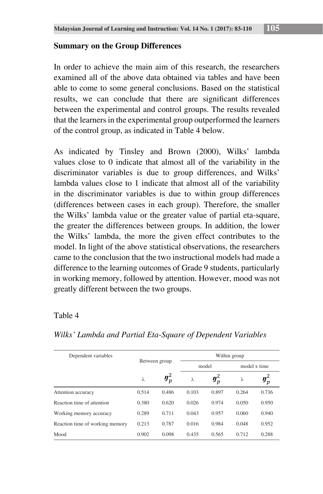#### **Summary on the Group Differences**

In order to achieve the main aim of this research, the researchers examined all of the above data obtained via tables and have been able to come to some general conclusions. Based on the statistical results, we can conclude that there are significant differences between the experimental and control groups. The results revealed that the learners in the experimental group outperformed the learners of the control group, as indicated in Table 4 below.

As indicated by Tinsley and Brown (2000), Wilks' lambda values close to 0 indicate that almost all of the variability in the discriminator variables is due to group differences, and Wilks' lambda values close to 1 indicate that almost all of the variability in the discriminator variables is due to within group differences (differences between cases in each group). Therefore, the smaller the Wilks' lambda value or the greater value of partial eta-square, the greater the differences between groups. In addition, the lower the Wilks' lambda, the more the given effect contributes to the model. In light of the above statistical observations, the researchers came to the conclusion that the two instructional models had made a difference to the learning outcomes of Grade 9 students, particularly in working memory, followed by attention. However, mood was not greatly different between the two groups.

#### Table 4

| Dependent variables             |       |               | Within group |         |              |                      |  |
|---------------------------------|-------|---------------|--------------|---------|--------------|----------------------|--|
|                                 |       | Between group |              | model   | model x time |                      |  |
|                                 | λ     | $y_p^2$       | λ            | $y_p^2$ | λ            | $\boldsymbol{y}_p^2$ |  |
| Attention accuracy              | 0.514 | 0.486         | 0.103        | 0.897   | 0.264        | 0.736                |  |
| Reaction time of attention      | 0.380 | 0.620         | 0.026        | 0.974   | 0.050        | 0.950                |  |
| Working memory accuracy         | 0.289 | 0.711         | 0.043        | 0.957   | 0.060        | 0.940                |  |
| Reaction time of working memory | 0.213 | 0.787         | 0.016        | 0.984   | 0.048        | 0.952                |  |
| Mood                            | 0.902 | 0.098         | 0.435        | 0.565   | 0.712        | 0.288                |  |

#### *Wilks' Lambda and Partial Eta-Square of Dependent Variables*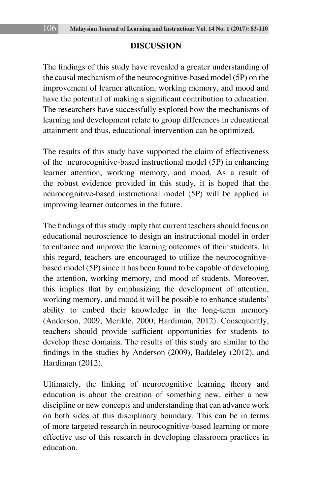## **DISCUSSION**

The findings of this study have revealed a greater understanding of the causal mechanism of the neurocognitive-based model (5P) on the improvement of learner attention, working memory, and mood and have the potential of making a significant contribution to education. The researchers have successfully explored how the mechanisms of learning and development relate to group differences in educational attainment and thus, educational intervention can be optimized.

The results of this study have supported the claim of effectiveness of the neurocognitive-based instructional model (5P) in enhancing learner attention, working memory, and mood. As a result of the robust evidence provided in this study, it is hoped that the neurocognitive-based instructional model (5P) will be applied in improving learner outcomes in the future.

The findings of this study imply that current teachers should focus on educational neuroscience to design an instructional model in order to enhance and improve the learning outcomes of their students. In this regard, teachers are encouraged to utilize the neurocognitivebased model (5P) since it has been found to be capable of developing the attention, working memory, and mood of students. Moreover, this implies that by emphasizing the development of attention, working memory, and mood it will be possible to enhance students' ability to embed their knowledge in the long-term memory (Anderson, 2009; Merikle, 2000; Hardiman, 2012). Consequently, teachers should provide sufficient opportunities for students to develop these domains. The results of this study are similar to the findings in the studies by Anderson (2009), Baddeley (2012), and Hardiman (2012).

Ultimately, the linking of neurocognitive learning theory and education is about the creation of something new, either a new discipline or new concepts and understanding that can advance work on both sides of this disciplinary boundary. This can be in terms of more targeted research in neurocognitive-based learning or more effective use of this research in developing classroom practices in education.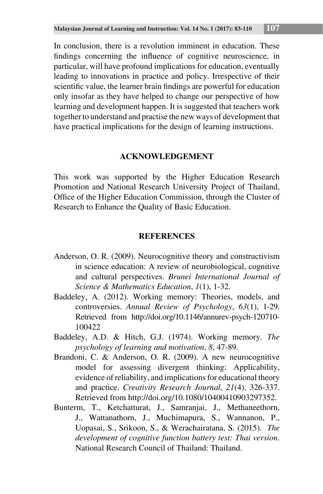In conclusion, there is a revolution imminent in education. These findings concerning the influence of cognitive neuroscience, in particular, will have profound implications for education, eventually leading to innovations in practice and policy. Irrespective of their scientific value, the learner brain findings are powerful for education only insofar as they have helped to change our perspective of how learning and development happen. It is suggested that teachers work together to understand and practise the new ways of development that have practical implications for the design of learning instructions.

## **ACKNOWLEDGEMENT**

This work was supported by the Higher Education Research Promotion and National Research University Project of Thailand, Office of the Higher Education Commission, through the Cluster of Research to Enhance the Quality of Basic Education.

## **REFERENCES**

- Anderson, O. R. (2009). Neurocognitive theory and constructivism in science education: A review of neurobiological, cognitive and cultural perspectives. *Brunei International Journal of Science & Mathematics Education*, *1*(1), 1-32.
- Baddeley, A. (2012). Working memory: Theories, models, and controversies. *Annual Review of Psychology*, *63*(1), 1-29. Retrieved from http://doi.org/10.1146/annurev-psych-120710- 100422
- Baddeley, A.D. & Hitch, G.J. (1974). Working memory. *The psychology of learning and motivation*, *8*, 47-89.
- Brandoni, C. & Anderson, O. R. (2009). A new neurocognitive model for assessing divergent thinking: Applicability, evidence of reliability, and implications for educational theory and practice. *Creativity Research Journal*, *21*(4), 326-337. Retrieved from http://doi.org/10.1080/10400410903297352.
- Bunterm, T., Ketchatturat, J., Samranjai, J., Methaneethorn, J., Wattanathorn, J., Muchimapura, S., Wannanon, P., Uopasai, S., Srikoon, S., & Werachairatana, S. (2015). *The development of cognitive function battery test: Thai version.* National Research Council of Thailand: Thailand.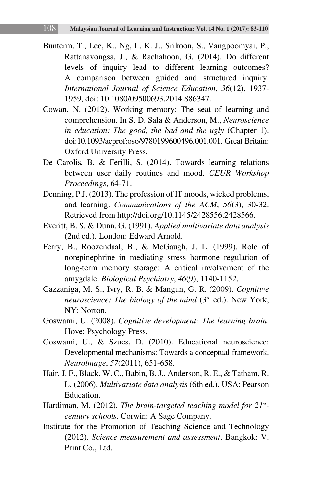- Bunterm, T., Lee, K., Ng, L. K. J., Srikoon, S., Vangpoomyai, P., Rattanavongsa, J., & Rachahoon, G. (2014). Do different levels of inquiry lead to different learning outcomes? A comparison between guided and structured inquiry. *International Journal of Science Education*, *36*(12), 1937- 1959, doi: 10.1080/09500693.2014.886347.
- Cowan, N. (2012). Working memory: The seat of learning and comprehension. In S. D. Sala & Anderson, M., *Neuroscience in education: The good, the bad and the ugly* (Chapter 1). doi:10.1093/acprof:oso/9780199600496.001.001. Great Britain: Oxford University Press.
- De Carolis, B. & Ferilli, S. (2014). Towards learning relations between user daily routines and mood. *CEUR Workshop Proceedings*, 64-71.
- Denning, P.J. (2013). The profession of IT moods, wicked problems, and learning. *Communications of the ACM*, *56*(3), 30-32. Retrieved from http://doi.org/10.1145/2428556.2428566.
- Everitt, B. S. & Dunn, G. (1991). *Applied multivariate data analysis*  (2nd ed.). London: Edward Arnold.
- Ferry, B., Roozendaal, B., & McGaugh, J. L. (1999). Role of norepinephrine in mediating stress hormone regulation of long-term memory storage: A critical involvement of the amygdale. *Biological Psychiatry*, *46*(9), 1140-1152.
- Gazzaniga, M. S., Ivry, R. B. & Mangun, G. R. (2009). *Cognitive neuroscience: The biology of the mind* (3rd ed.). New York, NY: Norton.
- Goswami, U. (2008). *Cognitive development: The learning brain*. Hove: Psychology Press.
- Goswami, U., & Szucs, D. (2010). Educational neuroscience: Developmental mechanisms: Towards a conceptual framework. *Neurolmage*, *57*(2011), 651-658.
- Hair, J. F., Black, W. C., Babin, B. J., Anderson, R. E., & Tatham, R. L. (2006). *Multivariate data analysis* (6th ed.). USA: Pearson Education.
- Hardiman, M. (2012). *The brain-targeted teaching model for 21stcentury schools*. Corwin: A Sage Company.
- Institute for the Promotion of Teaching Science and Technology (2012). *Science measurement and assessment*. Bangkok: V. Print Co., Ltd.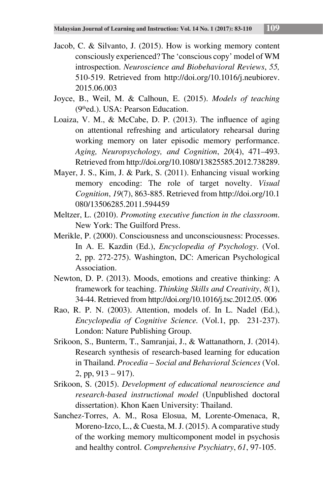- Jacob, C. & Silvanto, J. (2015). How is working memory content consciously experienced? The 'conscious copy' model of WM introspection. *Neuroscience and Biobehavioral Reviews*, *55,* 510-519. Retrieved from http://doi.org/10.1016/j.neubiorev. 2015.06.003
- Joyce, B., Weil, M. & Calhoun, E. (2015). *Models of teaching* (9thed.). USA: Pearson Education.
- Loaiza, V. M., & McCabe, D. P. (2013). The influence of aging on attentional refreshing and articulatory rehearsal during working memory on later episodic memory performance. *Aging, Neuropsychology, and Cognition*, *20*(4), 471–493. Retrieved from http://doi.org/10.1080/13825585.2012.738289.
- Mayer, J. S., Kim, J. & Park, S. (2011). Enhancing visual working memory encoding: The role of target novelty. *Visual Cognition*, *19*(7), 863-885. Retrieved from http://doi.org/10.1 080/13506285.2011.594459
- Meltzer, L. (2010). *Promoting executive function in the classroom*. New York: The Guilford Press.
- Merikle, P. (2000). Consciousness and unconsciousness: Processes. In A. E. Kazdin (Ed.), *Encyclopedia of Psychology*. (Vol. 2, pp. 272-275). Washington, DC: American Psychological Association.
- Newton, D. P. (2013). Moods, emotions and creative thinking: A framework for teaching. *Thinking Skills and Creativity*, *8*(1), 34-44. Retrieved from http://doi.org/10.1016/j.tsc.2012.05. 006
- Rao, R. P. N. (2003). Attention, models of. In L. Nadel (Ed.), *Encyclopedia of Cognitive Science.* (Vol.1, pp. 231-237). London: Nature Publishing Group.
- Srikoon, S., Bunterm, T., Samranjai, J., & Wattanathorn, J. (2014). Research synthesis of research-based learning for education in Thailand. *Procedia – Social and Behavioral Sciences* (Vol.  $2, pp, 913 - 917$ ).
- Srikoon, S. (2015). *Development of educational neuroscience and research-based instructional model* (Unpublished doctoral dissertation). Khon Kaen University: Thailand.
- Sanchez-Torres, A. M., Rosa Elosua, M, Lorente-Omenaca, R, Moreno-Izco, L., & Cuesta, M. J. (2015). A comparative study of the working memory multicomponent model in psychosis and healthy control. *Comprehensive Psychiatry*, *61*, 97-105.